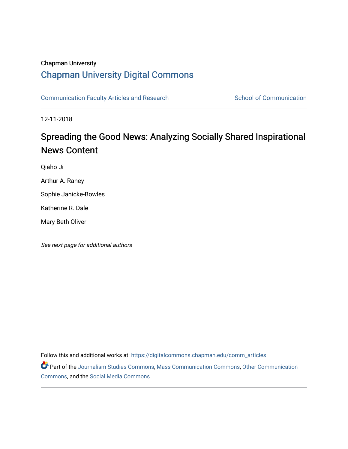## Chapman University

## [Chapman University Digital Commons](https://digitalcommons.chapman.edu/)

[Communication Faculty Articles and Research](https://digitalcommons.chapman.edu/comm_articles) School of Communication

12-11-2018

# Spreading the Good News: Analyzing Socially Shared Inspirational News Content

Qiaho Ji

Arthur A. Raney

Sophie Janicke-Bowles

Katherine R. Dale

Mary Beth Oliver

See next page for additional authors

Follow this and additional works at: [https://digitalcommons.chapman.edu/comm\\_articles](https://digitalcommons.chapman.edu/comm_articles?utm_source=digitalcommons.chapman.edu%2Fcomm_articles%2F66&utm_medium=PDF&utm_campaign=PDFCoverPages) 

Part of the [Journalism Studies Commons](http://network.bepress.com/hgg/discipline/333?utm_source=digitalcommons.chapman.edu%2Fcomm_articles%2F66&utm_medium=PDF&utm_campaign=PDFCoverPages), [Mass Communication Commons](http://network.bepress.com/hgg/discipline/334?utm_source=digitalcommons.chapman.edu%2Fcomm_articles%2F66&utm_medium=PDF&utm_campaign=PDFCoverPages), [Other Communication](http://network.bepress.com/hgg/discipline/339?utm_source=digitalcommons.chapman.edu%2Fcomm_articles%2F66&utm_medium=PDF&utm_campaign=PDFCoverPages) [Commons](http://network.bepress.com/hgg/discipline/339?utm_source=digitalcommons.chapman.edu%2Fcomm_articles%2F66&utm_medium=PDF&utm_campaign=PDFCoverPages), and the [Social Media Commons](http://network.bepress.com/hgg/discipline/1249?utm_source=digitalcommons.chapman.edu%2Fcomm_articles%2F66&utm_medium=PDF&utm_campaign=PDFCoverPages)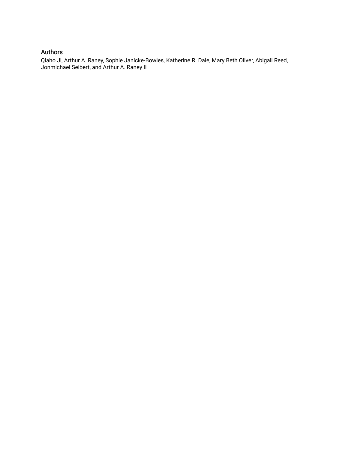## Authors

Qiaho Ji, Arthur A. Raney, Sophie Janicke-Bowles, Katherine R. Dale, Mary Beth Oliver, Abigail Reed, Jonmichael Seibert, and Arthur A. Raney II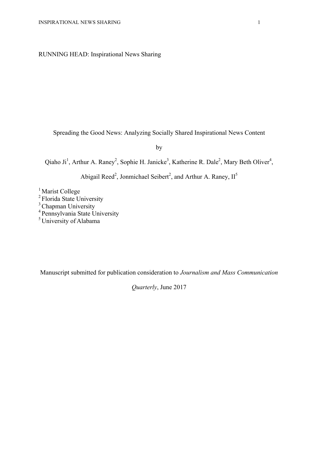## RUNNING HEAD: Inspirational News Sharing

Spreading the Good News: Analyzing Socially Shared Inspirational News Content

by

Qiaho Ji<sup>1</sup>, Arthur A. Raney<sup>2</sup>, Sophie H. Janicke<sup>3</sup>, Katherine R. Dale<sup>2</sup>, Mary Beth Oliver<sup>4</sup>,

Abigail Reed<sup>2</sup>, Jonmichael Seibert<sup>2</sup>, and Arthur A. Raney,  $II^5$ 

<sup>1</sup> Marist College

<sup>2</sup> Florida State University

<sup>3</sup> Chapman University

4 Pennsylvania State University

5 University of Alabama

Manuscript submitted for publication consideration to *Journalism and Mass Communication* 

*Quarterly*, June 2017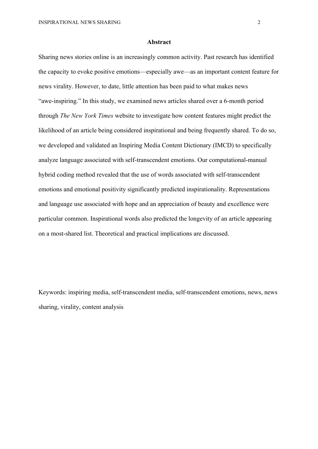#### **Abstract**

Sharing news stories online is an increasingly common activity. Past research has identified the capacity to evoke positive emotions—especially awe—as an important content feature for news virality. However, to date, little attention has been paid to what makes news "awe-inspiring." In this study, we examined news articles shared over a 6-month period through *The New York Times* website to investigate how content features might predict the likelihood of an article being considered inspirational and being frequently shared. To do so, we developed and validated an Inspiring Media Content Dictionary (IMCD) to specifically analyze language associated with self-transcendent emotions. Our computational-manual hybrid coding method revealed that the use of words associated with self-transcendent emotions and emotional positivity significantly predicted inspirationality. Representations and language use associated with hope and an appreciation of beauty and excellence were particular common. Inspirational words also predicted the longevity of an article appearing on a most-shared list. Theoretical and practical implications are discussed.

Keywords: inspiring media, self-transcendent media, self-transcendent emotions, news, news sharing, virality, content analysis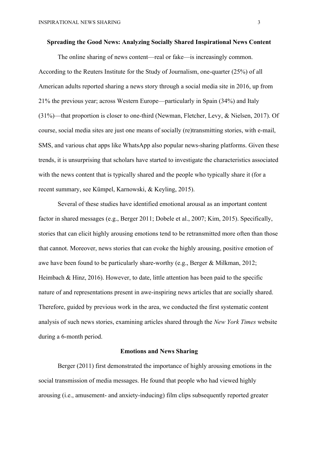#### **Spreading the Good News: Analyzing Socially Shared Inspirational News Content**

The online sharing of news content—real or fake—is increasingly common. According to the Reuters Institute for the Study of Journalism, one-quarter (25%) of all American adults reported sharing a news story through a social media site in 2016, up from 21% the previous year; across Western Europe—particularly in Spain (34%) and Italy (31%)—that proportion is closer to one-third (Newman, Fletcher, Levy, & Nielsen, 2017). Of course, social media sites are just one means of socially (re)transmitting stories, with e-mail, SMS, and various chat apps like WhatsApp also popular news-sharing platforms. Given these trends, it is unsurprising that scholars have started to investigate the characteristics associated with the news content that is typically shared and the people who typically share it (for a recent summary, see Kümpel, Karnowski, & Keyling, 2015).

Several of these studies have identified emotional arousal as an important content factor in shared messages (e.g., Berger 2011; Dobele et al., 2007; Kim, 2015). Specifically, stories that can elicit highly arousing emotions tend to be retransmitted more often than those that cannot. Moreover, news stories that can evoke the highly arousing, positive emotion of awe have been found to be particularly share-worthy (e.g., Berger & Milkman, 2012; Heimbach  $\&$  Hinz, 2016). However, to date, little attention has been paid to the specific nature of and representations present in awe-inspiring news articles that are socially shared. Therefore, guided by previous work in the area, we conducted the first systematic content analysis of such news stories, examining articles shared through the *New York Times* website during a 6-month period.

#### **Emotions and News Sharing**

Berger (2011) first demonstrated the importance of highly arousing emotions in the social transmission of media messages. He found that people who had viewed highly arousing (i.e., amusement- and anxiety-inducing) film clips subsequently reported greater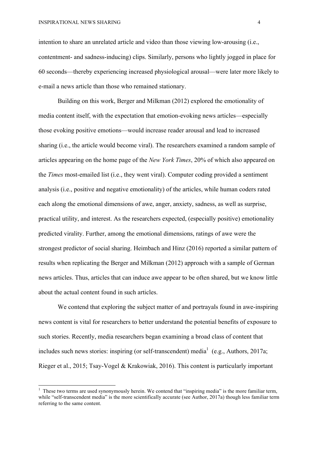intention to share an unrelated article and video than those viewing low-arousing (i.e., contentment- and sadness-inducing) clips. Similarly, persons who lightly jogged in place for 60 seconds—thereby experiencing increased physiological arousal—were later more likely to e-mail a news article than those who remained stationary.

Building on this work, Berger and Milkman (2012) explored the emotionality of media content itself, with the expectation that emotion-evoking news articles—especially those evoking positive emotions—would increase reader arousal and lead to increased sharing (i.e., the article would become viral). The researchers examined a random sample of articles appearing on the home page of the *New York Times*, 20% of which also appeared on the *Times* most-emailed list (i.e., they went viral). Computer coding provided a sentiment analysis (i.e., positive and negative emotionality) of the articles, while human coders rated each along the emotional dimensions of awe, anger, anxiety, sadness, as well as surprise, practical utility, and interest. As the researchers expected, (especially positive) emotionality predicted virality. Further, among the emotional dimensions, ratings of awe were the strongest predictor of social sharing. Heimbach and Hinz (2016) reported a similar pattern of results when replicating the Berger and Milkman (2012) approach with a sample of German news articles. Thus, articles that can induce awe appear to be often shared, but we know little about the actual content found in such articles.

We contend that exploring the subject matter of and portravals found in awe-inspiring news content is vital for researchers to better understand the potential benefits of exposure to such stories. Recently, media researchers began examining a broad class of content that includes such news stories: inspiring (or self-transcendent) media<sup>1</sup> (e.g., Authors, 2017a; Rieger et al., 2015; Tsay-Vogel & Krakowiak, 2016). This content is particularly important

<sup>&</sup>lt;sup>1</sup> These two terms are used synonymously herein. We contend that "inspiring media" is the more familiar term, while "self-transcendent media" is the more scientifically accurate (see Author, 2017a) though less familiar term referring to the same content.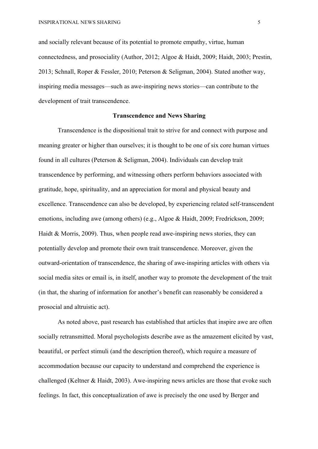and socially relevant because of its potential to promote empathy, virtue, human connectedness, and prosociality (Author, 2012; Algoe & Haidt, 2009; Haidt, 2003; Prestin, 2013; Schnall, Roper & Fessler, 2010; Peterson & Seligman, 2004). Stated another way, inspiring media messages—such as awe-inspiring news stories—can contribute to the development of trait transcendence.

#### **Transcendence and News Sharing**

Transcendence is the dispositional trait to strive for and connect with purpose and meaning greater or higher than ourselves; it is thought to be one of six core human virtues found in all cultures (Peterson & Seligman, 2004). Individuals can develop trait transcendence by performing, and witnessing others perform behaviors associated with gratitude, hope, spirituality, and an appreciation for moral and physical beauty and excellence. Transcendence can also be developed, by experiencing related self-transcendent emotions, including awe (among others) (e.g., Algoe & Haidt, 2009; Fredrickson, 2009; Haidt & Morris, 2009). Thus, when people read awe-inspiring news stories, they can potentially develop and promote their own trait transcendence. Moreover, given the outward-orientation of transcendence, the sharing of awe-inspiring articles with others via social media sites or email is, in itself, another way to promote the development of the trait (in that, the sharing of information for another's benefit can reasonably be considered a prosocial and altruistic act).

As noted above, past research has established that articles that inspire awe are often socially retransmitted. Moral psychologists describe awe as the amazement elicited by vast, beautiful, or perfect stimuli (and the description thereof), which require a measure of accommodation because our capacity to understand and comprehend the experience is challenged (Keltner & Haidt, 2003). Awe-inspiring news articles are those that evoke such feelings. In fact, this conceptualization of awe is precisely the one used by Berger and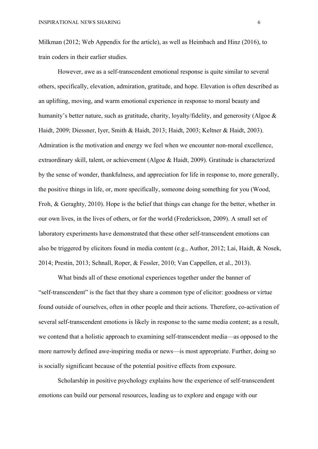Milkman (2012; Web Appendix for the article), as well as Heimbach and Hinz (2016), to train coders in their earlier studies.

However, awe as a self-transcendent emotional response is quite similar to several others, specifically, elevation, admiration, gratitude, and hope. Elevation is often described as an uplifting, moving, and warm emotional experience in response to moral beauty and humanity's better nature, such as gratitude, charity, loyalty/fidelity, and generosity (Algoe & Haidt, 2009; Diessner, Iyer, Smith & Haidt, 2013; Haidt, 2003; Keltner & Haidt, 2003). Admiration is the motivation and energy we feel when we encounter non-moral excellence, extraordinary skill, talent, or achievement (Algoe & Haidt, 2009). Gratitude is characterized by the sense of wonder, thankfulness, and appreciation for life in response to, more generally, the positive things in life, or, more specifically, someone doing something for you (Wood, Froh, & Geraghty, 2010). Hope is the belief that things can change for the better, whether in our own lives, in the lives of others, or for the world (Frederickson, 2009). A small set of laboratory experiments have demonstrated that these other self-transcendent emotions can also be triggered by elicitors found in media content (e.g., Author, 2012; Lai, Haidt, & Nosek, 2014; Prestin, 2013; Schnall, Roper, & Fessler, 2010; Van Cappellen, et al., 2013).

What binds all of these emotional experiences together under the banner of "self-transcendent" is the fact that they share a common type of elicitor: goodness or virtue found outside of ourselves, often in other people and their actions. Therefore, co-activation of several self-transcendent emotions is likely in response to the same media content; as a result, we contend that a holistic approach to examining self-transcendent media—as opposed to the more narrowly defined awe-inspiring media or news—is most appropriate. Further, doing so is socially significant because of the potential positive effects from exposure.

Scholarship in positive psychology explains how the experience of self-transcendent emotions can build our personal resources, leading us to explore and engage with our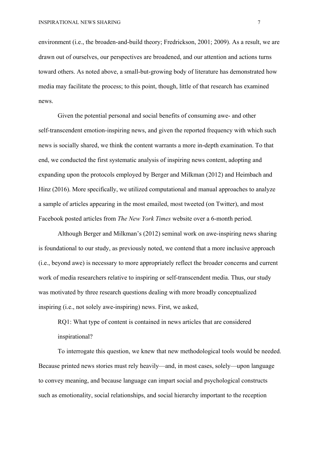environment (i.e., the broaden-and-build theory; Fredrickson, 2001; 2009). As a result, we are drawn out of ourselves, our perspectives are broadened, and our attention and actions turns toward others. As noted above, a small-but-growing body of literature has demonstrated how media may facilitate the process; to this point, though, little of that research has examined news.

Given the potential personal and social benefits of consuming awe- and other self-transcendent emotion-inspiring news, and given the reported frequency with which such news is socially shared, we think the content warrants a more in-depth examination. To that end, we conducted the first systematic analysis of inspiring news content, adopting and expanding upon the protocols employed by Berger and Milkman (2012) and Heimbach and Hinz (2016). More specifically, we utilized computational and manual approaches to analyze a sample of articles appearing in the most emailed, most tweeted (on Twitter), and most Facebook posted articles from *The New York Times* website over a 6-month period.

Although Berger and Milkman's (2012) seminal work on awe-inspiring news sharing is foundational to our study, as previously noted, we contend that a more inclusive approach (i.e., beyond awe) is necessary to more appropriately reflect the broader concerns and current work of media researchers relative to inspiring or self-transcendent media. Thus, our study was motivated by three research questions dealing with more broadly conceptualized inspiring (i.e., not solely awe-inspiring) news. First, we asked,

RQ1: What type of content is contained in news articles that are considered inspirational?

To interrogate this question, we knew that new methodological tools would be needed. Because printed news stories must rely heavily—and, in most cases, solely—upon language to convey meaning, and because language can impart social and psychological constructs such as emotionality, social relationships, and social hierarchy important to the reception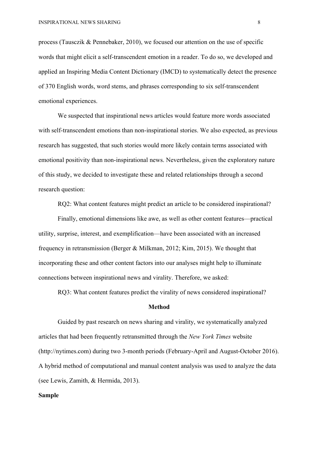process (Tausczik & Pennebaker, 2010), we focused our attention on the use of specific words that might elicit a self-transcendent emotion in a reader. To do so, we developed and applied an Inspiring Media Content Dictionary (IMCD) to systematically detect the presence of 370 English words, word stems, and phrases corresponding to six self-transcendent emotional experiences.

We suspected that inspirational news articles would feature more words associated with self-transcendent emotions than non-inspirational stories. We also expected, as previous research has suggested, that such stories would more likely contain terms associated with emotional positivity than non-inspirational news. Nevertheless, given the exploratory nature of this study, we decided to investigate these and related relationships through a second research question:

RQ2: What content features might predict an article to be considered inspirational?

Finally, emotional dimensions like awe, as well as other content features—practical utility, surprise, interest, and exemplification—have been associated with an increased frequency in retransmission (Berger & Milkman, 2012; Kim, 2015). We thought that incorporating these and other content factors into our analyses might help to illuminate connections between inspirational news and virality. Therefore, we asked:

RQ3: What content features predict the virality of news considered inspirational?

#### **Method**

Guided by past research on news sharing and virality, we systematically analyzed articles that had been frequently retransmitted through the *New York Times* website (http://nytimes.com) during two 3-month periods (February-April and August-October 2016). A hybrid method of computational and manual content analysis was used to analyze the data (see Lewis, Zamith, & Hermida, 2013).

#### **Sample**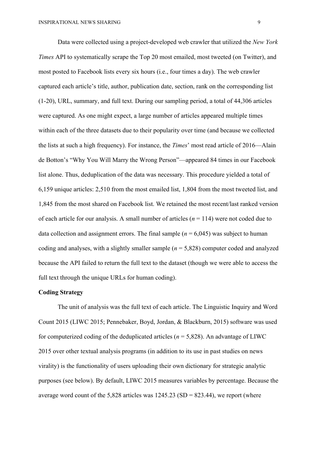Data were collected using a project-developed web crawler that utilized the *New York Times* API to systematically scrape the Top 20 most emailed, most tweeted (on Twitter), and most posted to Facebook lists every six hours (i.e., four times a day). The web crawler captured each article's title, author, publication date, section, rank on the corresponding list (1-20), URL, summary, and full text. During our sampling period, a total of 44,306 articles were captured. As one might expect, a large number of articles appeared multiple times within each of the three datasets due to their popularity over time (and because we collected the lists at such a high frequency). For instance, the *Times*' most read article of 2016—Alain de Botton's "Why You Will Marry the Wrong Person"—appeared 84 times in our Facebook list alone. Thus, deduplication of the data was necessary. This procedure yielded a total of 6,159 unique articles: 2,510 from the most emailed list, 1,804 from the most tweeted list, and 1,845 from the most shared on Facebook list. We retained the most recent/last ranked version of each article for our analysis. A small number of articles ( $n = 114$ ) were not coded due to data collection and assignment errors. The final sample  $(n = 6,045)$  was subject to human coding and analyses, with a slightly smaller sample (*n* = 5,828) computer coded and analyzed because the API failed to return the full text to the dataset (though we were able to access the full text through the unique URLs for human coding).

## **Coding Strategy**

The unit of analysis was the full text of each article. The Linguistic Inquiry and Word Count 2015 (LIWC 2015; Pennebaker, Boyd, Jordan, & Blackburn, 2015) software was used for computerized coding of the deduplicated articles ( $n = 5,828$ ). An advantage of LIWC 2015 over other textual analysis programs (in addition to its use in past studies on news virality) is the functionality of users uploading their own dictionary for strategic analytic purposes (see below). By default, LIWC 2015 measures variables by percentage. Because the average word count of the  $5,828$  articles was  $1245.23$  (SD =  $823.44$ ), we report (where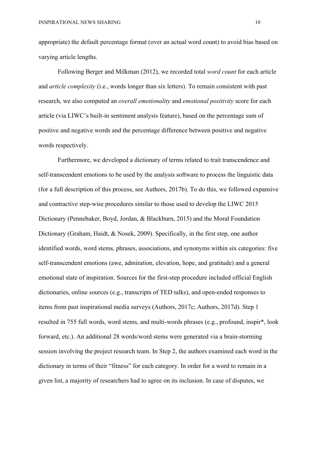appropriate) the default percentage format (over an actual word count) to avoid bias based on varying article lengths.

Following Berger and Milkman (2012), we recorded total *word count* for each article and *article complexity* (i.e., words longer than six letters). To remain consistent with past research, we also computed an *overall emotionality* and *emotional positivity* score for each article (via LIWC's built-in sentiment analysis feature), based on the percentage sum of positive and negative words and the percentage difference between positive and negative words respectively.

Furthermore, we developed a dictionary of terms related to trait transcendence and self-transcendent emotions to be used by the analysis software to process the linguistic data (for a full description of this process, see Authors, 2017b). To do this, we followed expansive and contractive step-wise procedures similar to those used to develop the LIWC 2015 Dictionary (Pennebaker, Boyd, Jordan, & Blackburn, 2015) and the Moral Foundation Dictionary (Graham, Haidt, & Nosek, 2009). Specifically, in the first step, one author identified words, word stems, phrases, associations, and synonyms within six categories: five self-transcendent emotions (awe, admiration, elevation, hope, and gratitude) and a general emotional state of inspiration. Sources for the first-step procedure included official English dictionaries, online sources (e.g., transcripts of TED talks), and open-ended responses to items from past inspirational media surveys (Authors, 2017c; Authors, 2017d). Step 1 resulted in 755 full words, word stems, and multi-words phrases (e.g., profound, inspir\*, look forward, etc.). An additional 28 words/word stems were generated via a brain-storming session involving the project research team. In Step 2, the authors examined each word in the dictionary in terms of their "fitness" for each category. In order for a word to remain in a given list, a majority of researchers had to agree on its inclusion. In case of disputes, we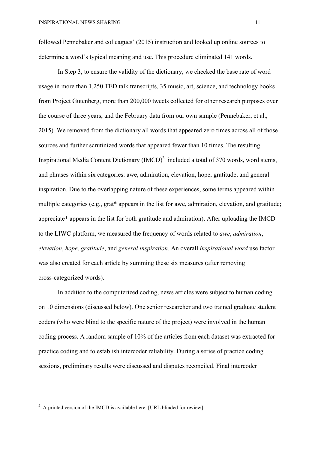followed Pennebaker and colleagues' (2015) instruction and looked up online sources to determine a word's typical meaning and use. This procedure eliminated 141 words.

In Step 3, to ensure the validity of the dictionary, we checked the base rate of word usage in more than 1,250 TED talk transcripts, 35 music, art, science, and technology books from Project Gutenberg, more than 200,000 tweets collected for other research purposes over the course of three years, and the February data from our own sample (Pennebaker, et al., 2015). We removed from the dictionary all words that appeared zero times across all of those sources and further scrutinized words that appeared fewer than 10 times. The resulting Inspirational Media Content Dictionary  $(MCD)^2$  included a total of 370 words, word stems, and phrases within six categories: awe, admiration, elevation, hope, gratitude, and general inspiration. Due to the overlapping nature of these experiences, some terms appeared within multiple categories (e.g., grat\* appears in the list for awe, admiration, elevation, and gratitude; appreciate\* appears in the list for both gratitude and admiration). After uploading the IMCD to the LIWC platform, we measured the frequency of words related to *awe*, *admiration*, *elevation*, *hope*, *gratitude*, and *general inspiration*. An overall *inspirational word* use factor was also created for each article by summing these six measures (after removing cross-categorized words).

In addition to the computerized coding, news articles were subject to human coding on 10 dimensions (discussed below). One senior researcher and two trained graduate student coders (who were blind to the specific nature of the project) were involved in the human coding process. A random sample of 10% of the articles from each dataset was extracted for practice coding and to establish intercoder reliability. During a series of practice coding sessions, preliminary results were discussed and disputes reconciled. Final intercoder

<u> 1989 - Johann Stein, fransk politik (d. 1989)</u>

 $2^2$  A printed version of the IMCD is available here: [URL blinded for review].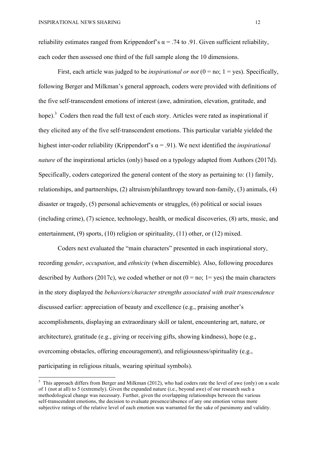<u> 1989 - Johann Stein, fransk politik (d. 1989)</u>

reliability estimates ranged from Krippendorf's  $\alpha$  = .74 to .91. Given sufficient reliability, each coder then assessed one third of the full sample along the 10 dimensions.

First, each article was judged to be *inspirational or not*  $(0 = no; 1 = yes)$ . Specifically, following Berger and Milkman's general approach, coders were provided with definitions of the five self-transcendent emotions of interest (awe, admiration, elevation, gratitude, and hope).<sup>3</sup> Coders then read the full text of each story. Articles were rated as inspirational if they elicited any of the five self-transcendent emotions. This particular variable yielded the highest inter-coder reliability (Krippendorf's  $\alpha$  = .91). We next identified the *inspirational nature* of the inspirational articles (only) based on a typology adapted from Authors (2017d). Specifically, coders categorized the general content of the story as pertaining to: (1) family, relationships, and partnerships, (2) altruism/philanthropy toward non-family, (3) animals, (4) disaster or tragedy, (5) personal achievements or struggles, (6) political or social issues (including crime), (7) science, technology, health, or medical discoveries, (8) arts, music, and entertainment, (9) sports, (10) religion or spirituality, (11) other, or (12) mixed.

Coders next evaluated the "main characters" presented in each inspirational story, recording *gender*, *occupation*, and *ethnicity* (when discernible). Also, following procedures described by Authors (2017c), we coded whether or not ( $0 = no$ ;  $1 = yes$ ) the main characters in the story displayed the *behaviors/character strengths associated with trait transcendence* discussed earlier: appreciation of beauty and excellence (e.g., praising another's accomplishments, displaying an extraordinary skill or talent, encountering art, nature, or architecture), gratitude (e.g., giving or receiving gifts, showing kindness), hope (e.g., overcoming obstacles, offering encouragement), and religiousness/spirituality (e.g., participating in religious rituals, wearing spiritual symbols).

 $3$  This approach differs from Berger and Milkman (2012), who had coders rate the level of awe (only) on a scale of 1 (not at all) to 5 (extremely). Given the expanded nature (i.e., beyond awe) of our research such a methodological change was necessary. Further, given the overlapping relationships between the various self-transcendent emotions, the decision to evaluate presence/absence of any one emotion versus more subjective ratings of the relative level of each emotion was warranted for the sake of parsimony and validity.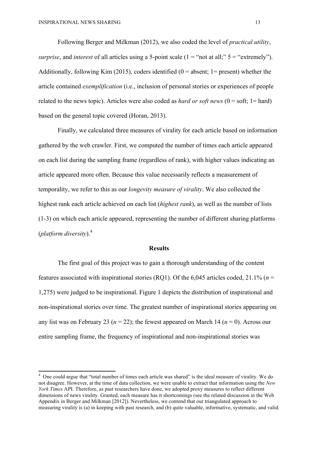Following Berger and Milkman (2012), we also coded the level of *practical utility*, *surprise*, and *interest* of all articles using a 5-point scale  $(1 = "not at all;" 5 = "extremely").$ Additionally, following Kim (2015), coders identified ( $0 =$  absent; 1= present) whether the article contained *exemplification* (i.e., inclusion of personal stories or experiences of people related to the news topic). Articles were also coded as *hard or soft news*  $(0 = soft; 1 = hard)$ based on the general topic covered (Horan, 2013).

Finally, we calculated three measures of virality for each article based on information gathered by the web crawler. First, we computed the number of times each article appeared on each list during the sampling frame (regardless of rank), with higher values indicating an article appeared more often. Because this value necessarily reflects a measurement of temporality, we refer to this as our *longevity measure of virality*. We also collected the highest rank each article achieved on each list (*highest rank*), as well as the number of lists (1-3) on which each article appeared, representing the number of different sharing platforms (*platform diversity*).<sup>4</sup>

#### **Results**

The first goal of this project was to gain a thorough understanding of the content features associated with inspirational stories (RQ1). Of the 6,045 articles coded, 21.1% (*n* = 1,275) were judged to be inspirational. Figure 1 depicts the distribution of inspirational and non-inspirational stories over time. The greatest number of inspirational stories appearing on any list was on February 23 (*n* = 22); the fewest appeared on March 14 (*n* = 0). Across our entire sampling frame, the frequency of inspirational and non-inspirational stories was

 <sup>4</sup> One could argue that "total number of times each article was shared" is the ideal measure of virality. We do not disagree. However, at the time of data collection, we were unable to extract that information using the *New York Times* API. Therefore, as past researchers have done, we adopted proxy measures to reflect different dimensions of news virality. Granted, each measure has it shortcomings (see the related discussion in the Web Appendix in Berger and Milkman [2012]). Nevertheless, we contend that our triangulated approach to measuring virality is (a) in keeping with past research, and (b) quite valuable, informative, systematic, and valid.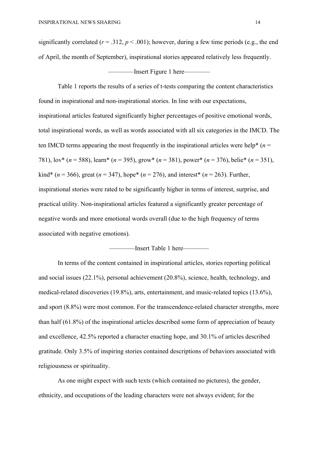significantly correlated ( $r = .312$ ,  $p < .001$ ); however, during a few time periods (e.g., the end of April, the month of September), inspirational stories appeared relatively less frequently.

#### ——Insert Figure 1 here——

Table 1 reports the results of a series of t-tests comparing the content characteristics found in inspirational and non-inspirational stories. In line with our expectations, inspirational articles featured significantly higher percentages of positive emotional words, total inspirational words, as well as words associated with all six categories in the IMCD. The ten IMCD terms appearing the most frequently in the inspirational articles were help<sup>\*</sup>  $(n =$ 781), lov\* (*n* = 588), learn\* (*n* = 395), grow\* (*n* = 381), power\* (*n* = 376), belie\* (*n* = 351),  $\text{kind*}(n = 366)$ , great ( $n = 347$ ), hope\* ( $n = 276$ ), and interest\* ( $n = 263$ ). Further, inspirational stories were rated to be significantly higher in terms of interest, surprise, and practical utility. Non-inspirational articles featured a significantly greater percentage of negative words and more emotional words overall (due to the high frequency of terms associated with negative emotions).

### ————Insert Table 1 here————

In terms of the content contained in inspirational articles, stories reporting political and social issues (22.1%), personal achievement (20.8%), science, health, technology, and medical-related discoveries (19.8%), arts, entertainment, and music-related topics (13.6%), and sport (8.8%) were most common. For the transcendence-related character strengths, more than half (61.8%) of the inspirational articles described some form of appreciation of beauty and excellence, 42.5% reported a character enacting hope, and 30.1% of articles described gratitude. Only 3.5% of inspiring stories contained descriptions of behaviors associated with religiousness or spirituality.

As one might expect with such texts (which contained no pictures), the gender, ethnicity, and occupations of the leading characters were not always evident; for the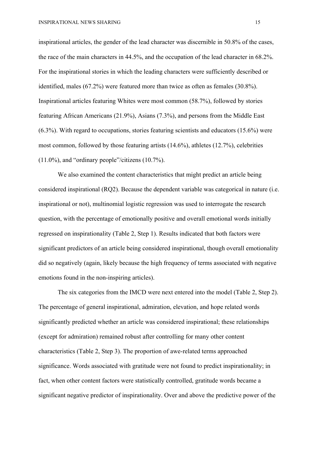INSPIRATIONAL NEWS SHARING 15

inspirational articles, the gender of the lead character was discernible in 50.8% of the cases, the race of the main characters in 44.5%, and the occupation of the lead character in 68.2%. For the inspirational stories in which the leading characters were sufficiently described or identified, males (67.2%) were featured more than twice as often as females (30.8%). Inspirational articles featuring Whites were most common (58.7%), followed by stories featuring African Americans (21.9%), Asians (7.3%), and persons from the Middle East (6.3%). With regard to occupations, stories featuring scientists and educators (15.6%) were most common, followed by those featuring artists (14.6%), athletes (12.7%), celebrities (11.0%), and "ordinary people"/citizens (10.7%).

We also examined the content characteristics that might predict an article being considered inspirational (RQ2). Because the dependent variable was categorical in nature (i.e. inspirational or not), multinomial logistic regression was used to interrogate the research question, with the percentage of emotionally positive and overall emotional words initially regressed on inspirationality (Table 2, Step 1). Results indicated that both factors were significant predictors of an article being considered inspirational, though overall emotionality did so negatively (again, likely because the high frequency of terms associated with negative emotions found in the non-inspiring articles).

The six categories from the IMCD were next entered into the model (Table 2, Step 2). The percentage of general inspirational, admiration, elevation, and hope related words significantly predicted whether an article was considered inspirational; these relationships (except for admiration) remained robust after controlling for many other content characteristics (Table 2, Step 3). The proportion of awe-related terms approached significance. Words associated with gratitude were not found to predict inspirationality; in fact, when other content factors were statistically controlled, gratitude words became a significant negative predictor of inspirationality. Over and above the predictive power of the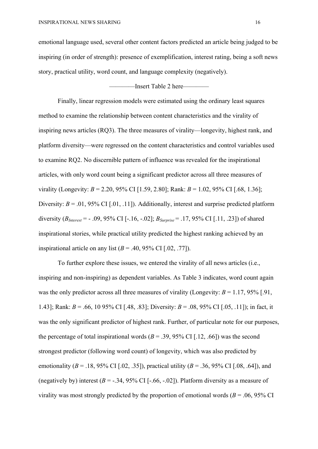emotional language used, several other content factors predicted an article being judged to be inspiring (in order of strength): presence of exemplification, interest rating, being a soft news story, practical utility, word count, and language complexity (negatively).

————Insert Table 2 here————

Finally, linear regression models were estimated using the ordinary least squares method to examine the relationship between content characteristics and the virality of inspiring news articles (RQ3). The three measures of virality—longevity, highest rank, and platform diversity—were regressed on the content characteristics and control variables used to examine RQ2. No discernible pattern of influence was revealed for the inspirational articles, with only word count being a significant predictor across all three measures of virality (Longevity: *B* = 2.20, 95% CI [1.59, 2.80]; Rank: *B* = 1.02, 95% CI [.68, 1.36]; Diversity:  $B = .01, 95\%$  CI [.01, .11]). Additionally, interest and surprise predicted platform diversity  $(B<sub>Interest</sub> = -0.09, 95\% \text{ CI}$  [-.16, -.02];  $B<sub>Surprise</sub> = 0.17, 95\% \text{ CI}$  [.11, .23]) of shared inspirational stories, while practical utility predicted the highest ranking achieved by an inspirational article on any list  $(B = .40, 95\% \text{ CI}$  [.02, .77]).

To further explore these issues, we entered the virality of all news articles (i.e., inspiring and non-inspiring) as dependent variables. As Table 3 indicates, word count again was the only predictor across all three measures of virality (Longevity:  $B = 1.17, 95\%$  [.91, 1.43]; Rank: *B* = .66, 10 95% CI [.48, .83]; Diversity: *B* = .08, 95% CI [.05, .11]); in fact, it was the only significant predictor of highest rank. Further, of particular note for our purposes, the percentage of total inspirational words  $(B = .39, 95\% \text{ CI}$  [.12, .66]) was the second strongest predictor (following word count) of longevity, which was also predicted by emotionality ( $B = .18, 95\%$  CI [.02, .35]), practical utility ( $B = .36, 95\%$  CI [.08, .64]), and (negatively by) interest  $(B = -0.34, 95\% \text{ CI}$  [-.66, -.02]). Platform diversity as a measure of virality was most strongly predicted by the proportion of emotional words ( $B = .06, 95\%$  CI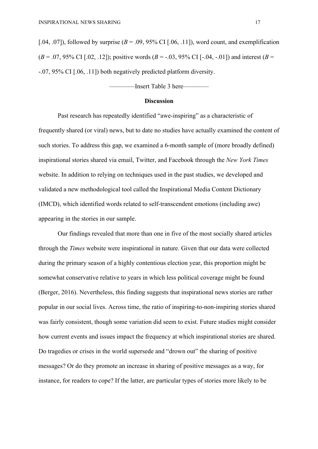[.04, .07]), followed by surprise  $(B = .09, 95\% \text{ CI}$  [.06, .11]), word count, and exemplification  $(B = .07, 95\% \text{ CI}$  [.02, .12]); positive words  $(B = -.03, 95\% \text{ CI}$  [-.04, -.01]) and interest  $(B = .03, 95\% \text{ CI}$ -.07, 95% CI [.06, .11]) both negatively predicted platform diversity.

————Insert Table 3 here————

#### **Discussion**

Past research has repeatedly identified "awe-inspiring" as a characteristic of frequently shared (or viral) news, but to date no studies have actually examined the content of such stories. To address this gap, we examined a 6-month sample of (more broadly defined) inspirational stories shared via email, Twitter, and Facebook through the *New York Times*  website. In addition to relying on techniques used in the past studies, we developed and validated a new methodological tool called the Inspirational Media Content Dictionary (IMCD), which identified words related to self-transcendent emotions (including awe) appearing in the stories in our sample.

Our findings revealed that more than one in five of the most socially shared articles through the *Times* website were inspirational in nature. Given that our data were collected during the primary season of a highly contentious election year, this proportion might be somewhat conservative relative to years in which less political coverage might be found (Berger, 2016). Nevertheless, this finding suggests that inspirational news stories are rather popular in our social lives. Across time, the ratio of inspiring-to-non-inspiring stories shared was fairly consistent, though some variation did seem to exist. Future studies might consider how current events and issues impact the frequency at which inspirational stories are shared. Do tragedies or crises in the world supersede and "drown out" the sharing of positive messages? Or do they promote an increase in sharing of positive messages as a way, for instance, for readers to cope? If the latter, are particular types of stories more likely to be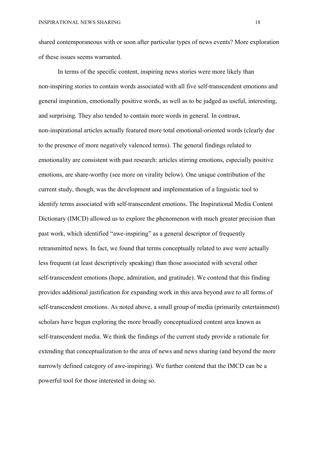shared contemporaneous with or soon after particular types of news events? More exploration of these issues seems warranted.

In terms of the specific content, inspiring news stories were more likely than non-inspiring stories to contain words associated with all five self-transcendent emotions and general inspiration, emotionally positive words, as well as to be judged as useful, interesting, and surprising. They also tended to contain more words in general. In contrast, non-inspirational articles actually featured more total emotional-oriented words (clearly due to the presence of more negatively valenced terms). The general findings related to emotionality are consistent with past research: articles stirring emotions, especially positive emotions, are share-worthy (see more on virality below). One unique contribution of the current study, though, was the development and implementation of a linguistic tool to identify terms associated with self-transcendent emotions. The Inspirational Media Content Dictionary (IMCD) allowed us to explore the phenomenon with much greater precision than past work, which identified "awe-inspiring" as a general descriptor of frequently retransmitted news. In fact, we found that terms conceptually related to awe were actually less frequent (at least descriptively speaking) than those associated with several other self-transcendent emotions (hope, admiration, and gratitude). We contend that this finding provides additional justification for expanding work in this area beyond awe to all forms of self-transcendent emotions. As noted above, a small group of media (primarily entertainment) scholars have begun exploring the more broadly conceptualized content area known as self-transcendent media. We think the findings of the current study provide a rationale for extending that conceptualization to the area of news and news sharing (and beyond the more narrowly defined category of awe-inspiring). We further contend that the IMCD can be a powerful tool for those interested in doing so.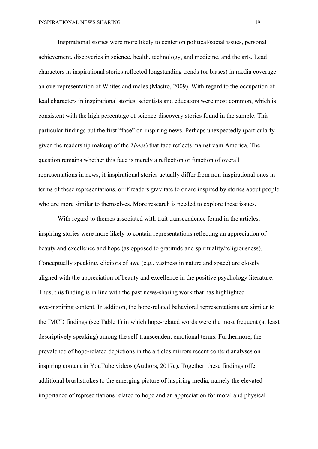Inspirational stories were more likely to center on political/social issues, personal achievement, discoveries in science, health, technology, and medicine, and the arts. Lead characters in inspirational stories reflected longstanding trends (or biases) in media coverage: an overrepresentation of Whites and males (Mastro, 2009). With regard to the occupation of lead characters in inspirational stories, scientists and educators were most common, which is consistent with the high percentage of science-discovery stories found in the sample. This particular findings put the first "face" on inspiring news. Perhaps unexpectedly (particularly given the readership makeup of the *Times*) that face reflects mainstream America. The question remains whether this face is merely a reflection or function of overall representations in news, if inspirational stories actually differ from non-inspirational ones in terms of these representations, or if readers gravitate to or are inspired by stories about people who are more similar to themselves. More research is needed to explore these issues.

With regard to themes associated with trait transcendence found in the articles, inspiring stories were more likely to contain representations reflecting an appreciation of beauty and excellence and hope (as opposed to gratitude and spirituality/religiousness). Conceptually speaking, elicitors of awe (e.g., vastness in nature and space) are closely aligned with the appreciation of beauty and excellence in the positive psychology literature. Thus, this finding is in line with the past news-sharing work that has highlighted awe-inspiring content. In addition, the hope-related behavioral representations are similar to the IMCD findings (see Table 1) in which hope-related words were the most frequent (at least descriptively speaking) among the self-transcendent emotional terms. Furthermore, the prevalence of hope-related depictions in the articles mirrors recent content analyses on inspiring content in YouTube videos (Authors, 2017c). Together, these findings offer additional brushstrokes to the emerging picture of inspiring media, namely the elevated importance of representations related to hope and an appreciation for moral and physical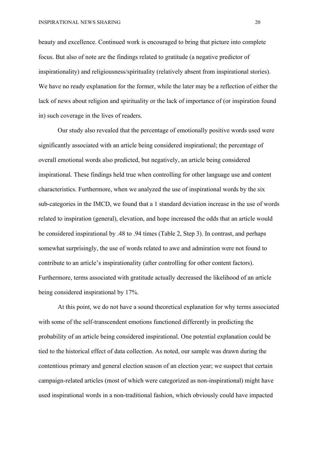beauty and excellence. Continued work is encouraged to bring that picture into complete focus. But also of note are the findings related to gratitude (a negative predictor of inspirationality) and religiousness/spirituality (relatively absent from inspirational stories). We have no ready explanation for the former, while the later may be a reflection of either the lack of news about religion and spirituality or the lack of importance of (or inspiration found in) such coverage in the lives of readers.

Our study also revealed that the percentage of emotionally positive words used were significantly associated with an article being considered inspirational; the percentage of overall emotional words also predicted, but negatively, an article being considered inspirational. These findings held true when controlling for other language use and content characteristics. Furthermore, when we analyzed the use of inspirational words by the six sub-categories in the IMCD, we found that a 1 standard deviation increase in the use of words related to inspiration (general), elevation, and hope increased the odds that an article would be considered inspirational by .48 to .94 times (Table 2, Step 3). In contrast, and perhaps somewhat surprisingly, the use of words related to awe and admiration were not found to contribute to an article's inspirationality (after controlling for other content factors). Furthermore, terms associated with gratitude actually decreased the likelihood of an article being considered inspirational by 17%.

At this point, we do not have a sound theoretical explanation for why terms associated with some of the self-transcendent emotions functioned differently in predicting the probability of an article being considered inspirational. One potential explanation could be tied to the historical effect of data collection. As noted, our sample was drawn during the contentious primary and general election season of an election year; we suspect that certain campaign-related articles (most of which were categorized as non-inspirational) might have used inspirational words in a non-traditional fashion, which obviously could have impacted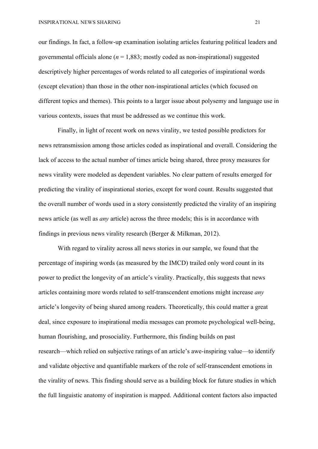our findings. In fact, a follow-up examination isolating articles featuring political leaders and governmental officials alone ( $n = 1,883$ ; mostly coded as non-inspirational) suggested descriptively higher percentages of words related to all categories of inspirational words (except elevation) than those in the other non-inspirational articles (which focused on different topics and themes). This points to a larger issue about polysemy and language use in various contexts, issues that must be addressed as we continue this work.

Finally, in light of recent work on news virality, we tested possible predictors for news retransmission among those articles coded as inspirational and overall. Considering the lack of access to the actual number of times article being shared, three proxy measures for news virality were modeled as dependent variables. No clear pattern of results emerged for predicting the virality of inspirational stories, except for word count. Results suggested that the overall number of words used in a story consistently predicted the virality of an inspiring news article (as well as *any* article) across the three models; this is in accordance with findings in previous news virality research (Berger & Milkman, 2012).

With regard to virality across all news stories in our sample, we found that the percentage of inspiring words (as measured by the IMCD) trailed only word count in its power to predict the longevity of an article's virality. Practically, this suggests that news articles containing more words related to self-transcendent emotions might increase *any* article's longevity of being shared among readers. Theoretically, this could matter a great deal, since exposure to inspirational media messages can promote psychological well-being, human flourishing, and prosociality. Furthermore, this finding builds on past research—which relied on subjective ratings of an article's awe-inspiring value—to identify and validate objective and quantifiable markers of the role of self-transcendent emotions in the virality of news. This finding should serve as a building block for future studies in which the full linguistic anatomy of inspiration is mapped. Additional content factors also impacted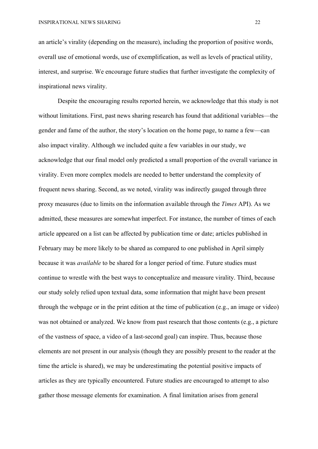an article's virality (depending on the measure), including the proportion of positive words, overall use of emotional words, use of exemplification, as well as levels of practical utility, interest, and surprise. We encourage future studies that further investigate the complexity of inspirational news virality.

Despite the encouraging results reported herein, we acknowledge that this study is not without limitations. First, past news sharing research has found that additional variables—the gender and fame of the author, the story's location on the home page, to name a few—can also impact virality. Although we included quite a few variables in our study, we acknowledge that our final model only predicted a small proportion of the overall variance in virality. Even more complex models are needed to better understand the complexity of frequent news sharing. Second, as we noted, virality was indirectly gauged through three proxy measures (due to limits on the information available through the *Times* API). As we admitted, these measures are somewhat imperfect. For instance, the number of times of each article appeared on a list can be affected by publication time or date; articles published in February may be more likely to be shared as compared to one published in April simply because it was *available* to be shared for a longer period of time. Future studies must continue to wrestle with the best ways to conceptualize and measure virality. Third, because our study solely relied upon textual data, some information that might have been present through the webpage or in the print edition at the time of publication (e.g., an image or video) was not obtained or analyzed. We know from past research that those contents (e.g., a picture of the vastness of space, a video of a last-second goal) can inspire. Thus, because those elements are not present in our analysis (though they are possibly present to the reader at the time the article is shared), we may be underestimating the potential positive impacts of articles as they are typically encountered. Future studies are encouraged to attempt to also gather those message elements for examination. A final limitation arises from general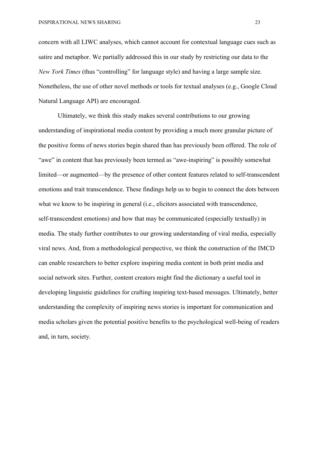concern with all LIWC analyses, which cannot account for contextual language cues such as satire and metaphor. We partially addressed this in our study by restricting our data to the *New York Times* (thus "controlling" for language style) and having a large sample size. Nonetheless, the use of other novel methods or tools for textual analyses (e.g., Google Cloud Natural Language API) are encouraged.

Ultimately, we think this study makes several contributions to our growing understanding of inspirational media content by providing a much more granular picture of the positive forms of news stories begin shared than has previously been offered. The role of "awe" in content that has previously been termed as "awe-inspiring" is possibly somewhat limited—or augmented—by the presence of other content features related to self-transcendent emotions and trait transcendence. These findings help us to begin to connect the dots between what we know to be inspiring in general (i.e., elicitors associated with transcendence, self-transcendent emotions) and how that may be communicated (especially textually) in media. The study further contributes to our growing understanding of viral media, especially viral news. And, from a methodological perspective, we think the construction of the IMCD can enable researchers to better explore inspiring media content in both print media and social network sites. Further, content creators might find the dictionary a useful tool in developing linguistic guidelines for crafting inspiring text-based messages. Ultimately, better understanding the complexity of inspiring news stories is important for communication and media scholars given the potential positive benefits to the psychological well-being of readers and, in turn, society.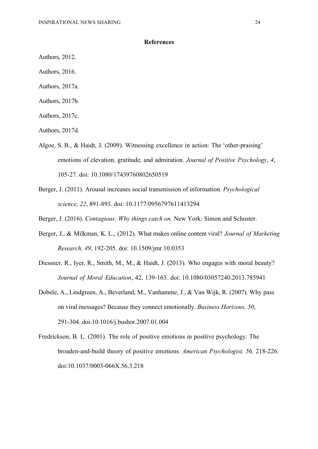#### **References**

- Authors, 2012.
- Authors, 2016.
- Authors, 2017a.
- Authors, 2017b.
- Authors, 2017c.
- Authors, 2017d.
- Algoe, S. B., & Haidt, J. (2009). Witnessing excellence in action: The 'other-praising' emotions of elevation, gratitude, and admiration. *Journal of Positive Psychology*, *4*, 105-27. doi: 10.1080/17439760802650519
- Berger, J. (2011). Arousal increases social transmission of information. *Psychological science, 22*, 891-893. doi: 10.1177/0956797611413294
- Berger, J. (2016). *Contagious: Why things catch on.* New York: Simon and Schuster.
- Berger, J., & Milkman, K. L., (2012). What makes online content viral? *Journal of Marketing Research, 49*, 192-205. doi: 10.1509/jmr.10.0353
- Diessner, R., Iyer, R., Smith, M., M., & Haidt, J. (2013). Who engages with moral beauty? *Journal of Moral Education*, 42, 139-163. doi: 10.1080/03057240.2013.785941
- Dobele, A., Lindgreen, A., Beverland, M., Vanhamme, J., & Van Wijk, R. (2007). Why pass on viral messages? Because they connect emotionally. *Business Horizons, 50*, 291-304. doi:10.1016/j.bushor.2007.01.004
- Fredrickson, B. L. (2001). The role of positive emotions in positive psychology: The broaden-and-build theory of positive emotions. *American Psychologist, 56,* 218-226. doi:10.1037/0003-066X.56.3.218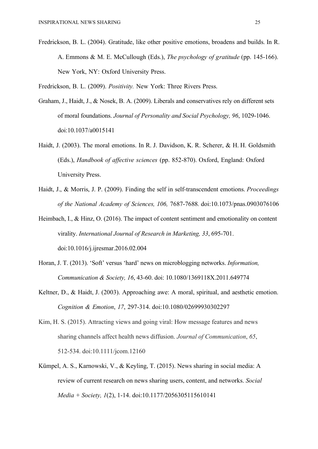Fredrickson, B. L. (2004). Gratitude, like other positive emotions, broadens and builds. In R. A. Emmons & M. E. McCullough (Eds.), *The psychology of gratitude* (pp. 145-166). New York, NY: Oxford University Press.

Fredrickson, B. L. (2009). *Positivity.* New York: Three Rivers Press.

- Graham, J., Haidt, J., & Nosek, B. A. (2009). Liberals and conservatives rely on different sets of moral foundations. *Journal of Personality and Social Psychology, 96*, 1029-1046. doi:10.1037/a0015141
- Haidt, J. (2003). The moral emotions. In R. J. Davidson, K. R. Scherer, & H. H. Goldsmith (Eds.), *Handbook of affective sciences* (pp. 852-870). Oxford, England: Oxford University Press.
- Haidt, J., & Morris, J. P. (2009). Finding the self in self-transcendent emotions. *Proceedings of the National Academy of Sciences, 106,* 7687-7688*.* doi:10.1073/pnas.0903076106
- Heimbach, I., & Hinz, O. (2016). The impact of content sentiment and emotionality on content virality. *International Journal of Research in Marketing, 33*, 695-701. doi:10.1016/j.ijresmar.2016.02.004
- Horan, J. T. (2013). 'Soft' versus 'hard' news on microblogging networks. *Information, Communication & Society, 16*, 43-60. doi: 10.1080/1369118X.2011.649774
- Keltner, D., & Haidt, J. (2003). Approaching awe: A moral, spiritual, and aesthetic emotion. *Cognition & Emotion*, *17*, 297-314. doi:10.1080/02699930302297
- Kim, H. S. (2015). Attracting views and going viral: How message features and news sharing channels affect health news diffusion. *Journal of Communication*, *65*, 512-534. doi:10.1111/jcom.12160
- Kümpel, A. S., Karnowski, V., & Keyling, T. (2015). News sharing in social media: A review of current research on news sharing users, content, and networks. *Social Media + Society, 1*(2), 1-14. doi:10.1177/2056305115610141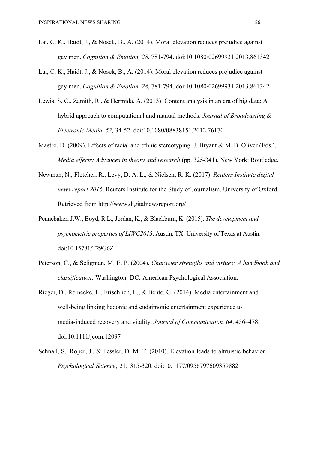- Lai, C. K., Haidt, J., & Nosek, B., A. (2014). Moral elevation reduces prejudice against gay men. *Cognition & Emotion, 28*, 781-794. doi:10.1080/02699931.2013.861342
- Lai, C. K., Haidt, J., & Nosek, B., A. (2014). Moral elevation reduces prejudice against gay men. *Cognition & Emotion, 28*, 781-794. doi:10.1080/02699931.2013.861342
- Lewis, S. C., Zamith, R., & Hermida, A. (2013). Content analysis in an era of big data: A hybrid approach to computational and manual methods. *Journal of Broadcasting & Electronic Media, 57,* 34-52. doi:10.1080/08838151.2012.76170
- Mastro, D. (2009). Effects of racial and ethnic stereotyping. J. Bryant & M.B. Oliver (Eds.), *Media effects: Advances in theory and research* (pp. 325-341). New York: Routledge.
- Newman, N., Fletcher, R., Levy, D. A. L., & Nielsen, R. K. (2017). *Reuters Institute digital news report 2016*. Reuters Institute for the Study of Journalism, University of Oxford. Retrieved from http://www.digitalnewsreport.org/
- Pennebaker, J.W., Boyd, R.L., Jordan, K., & Blackburn, K. (2015). *The development and psychometric properties of LIWC2015*. Austin, TX: University of Texas at Austin. doi:10.15781/T29G6Z
- Peterson, C., & Seligman, M. E. P. (2004). *Character strengths and virtues: A handbook and classification*. Washington, DC: American Psychological Association.
- Rieger, D., Reinecke, L., Frischlich, L., & Bente, G. (2014). Media entertainment and well-being linking hedonic and eudaimonic entertainment experience to media-induced recovery and vitality. *Journal of Communication, 64*, 456–478. doi:10.1111/jcom.12097
- Schnall, S., Roper, J., & Fessler, D. M. T. (2010). Elevation leads to altruistic behavior. *Psychological Science*, 21, 315-320. doi:10.1177/0956797609359882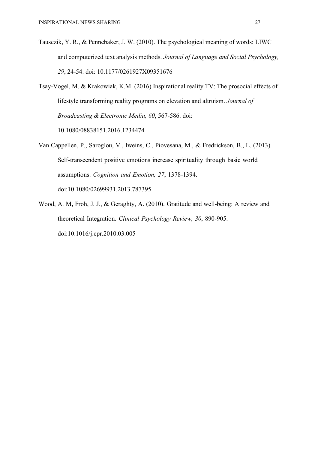- Tausczik, Y. R., & Pennebaker, J. W. (2010). The psychological meaning of words: LIWC and computerized text analysis methods. *Journal of Language and Social Psychology, 29*, 24-54. doi: 10.1177/0261927X09351676
- Tsay-Vogel, M. & Krakowiak, K.M. (2016) Inspirational reality TV: The prosocial effects of lifestyle transforming reality programs on elevation and altruism. *Journal of Broadcasting & Electronic Media, 60*, 567-586. doi: 10.1080/08838151.2016.1234474
- Van Cappellen, P., Saroglou, V., Iweins, C., Piovesana, M., & Fredrickson, B., L. (2013). Self-transcendent positive emotions increase spirituality through basic world assumptions. *Cognition and Emotion, 27*, 1378-1394. doi:10.1080/02699931.2013.787395
- Wood, A. M**,** Froh, J. J., & Geraghty, A. (2010). Gratitude and well-being: A review and theoretical Integration. *Clinical Psychology Review, 30*, 890-905. doi:10.1016/j.cpr.2010.03.005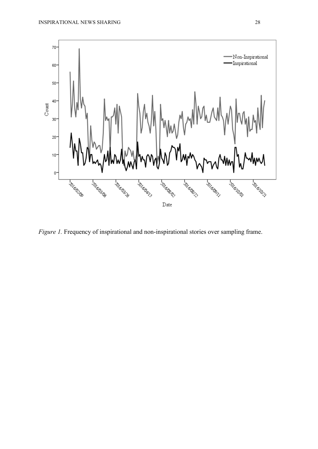

*Figure 1.* Frequency of inspirational and non-inspirational stories over sampling frame.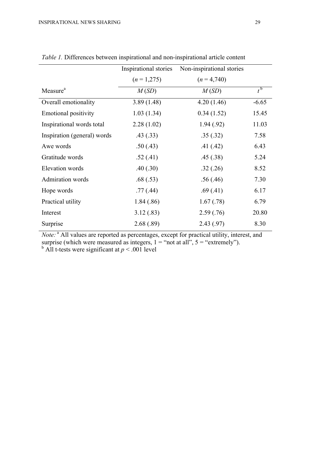|                             | Inspirational stories | Non-inspirational stories |                    |
|-----------------------------|-----------------------|---------------------------|--------------------|
|                             | $(n=1,275)$           | $(n=4,740)$               |                    |
| Measure <sup>a</sup>        | M(SD)                 | M(SD)                     | $t^{\mathfrak{b}}$ |
| Overall emotionality        | 3.89(1.48)            | 4.20(1.46)                | $-6.65$            |
| <b>Emotional positivity</b> | 1.03(1.34)            | 0.34(1.52)                | 15.45              |
| Inspirational words total   | 2.28(1.02)            | 1.94(0.92)                | 11.03              |
| Inspiration (general) words | .43(.33)              | .35(.32)                  | 7.58               |
| Awe words                   | .50(.43)              | .41(.42)                  | 6.43               |
| Gratitude words             | .52(.41)              | .45(.38)                  | 5.24               |
| Elevation words             | .40(.30)              | .32(.26)                  | 8.52               |
| <b>Admiration</b> words     | .68(.53)              | .56(.46)                  | 7.30               |
| Hope words                  | .77(.44)              | .69(.41)                  | 6.17               |
| Practical utility           | 1.84(.86)             | 1.67(0.78)                | 6.79               |
| Interest                    | 3.12(.83)             | 2.59(.76)                 | 20.80              |
| Surprise                    | 2.68(.89)             | 2.43 (.97)                | 8.30               |

*Table 1.* Differences between inspirational and non-inspirational article content

*Note:*<sup>a</sup> All values are reported as percentages, except for practical utility, interest, and surprise (which were measured as integers,  $1 =$  "not at all",  $5 =$  "extremely").

 $<sup>b</sup>$  All t-tests were significant at  $p < .001$  level</sup>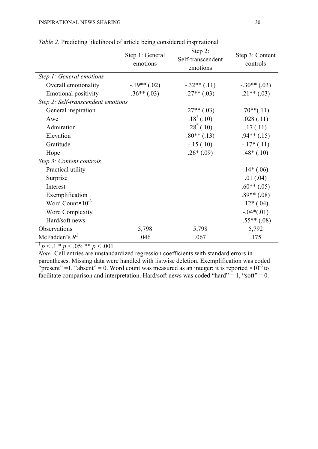|                                    | Step 1: General<br>emotions | Step 2:<br>Self-transcendent<br>emotions | Step 3: Content<br>controls |  |  |
|------------------------------------|-----------------------------|------------------------------------------|-----------------------------|--|--|
| Step 1: General emotions           |                             |                                          |                             |  |  |
| Overall emotionality               | $-19**$ (.02)               | $-.32**(.11)$                            | $-.30**(.03)$               |  |  |
| <b>Emotional positivity</b>        | $.36**(.03)$                | $.27**(.03)$                             | $.21**(.03)$                |  |  |
| Step 2: Self-transcendent emotions |                             |                                          |                             |  |  |
| General inspiration                |                             | $.27**(.03)$                             | $.70**(.11)$                |  |  |
| Awe                                |                             | $.18^{\dagger}$ (.10)                    | .028(.11)                   |  |  |
| Admiration                         |                             | $.28^*(.10)$                             | .17(.11)                    |  |  |
| Elevation                          |                             | $.80**$ (.13)                            | $.94**$ (.15)               |  |  |
| Gratitude                          |                             | $-.15(.10)$                              | $-17*(.11)$                 |  |  |
| Hope                               |                             | $.26*(.09)$                              | $.48*(.10)$                 |  |  |
| Step 3: Content controls           |                             |                                          |                             |  |  |
| Practical utility                  |                             |                                          | $.14*(.06)$                 |  |  |
| Surprise                           |                             |                                          | .01(.04)                    |  |  |
| Interest                           |                             |                                          | $.60**$ (.05)               |  |  |
| Exemplification                    |                             |                                          | $.89**$ (.08)               |  |  |
| Word Count $\times 10^{-3}$        |                             |                                          | $.12*(.04)$                 |  |  |
| <b>Word Complexity</b>             |                             |                                          | $-.04*(.01)$                |  |  |
| Hard/soft news                     |                             |                                          | $-.55**(.08)$               |  |  |
| Observations                       | 5,798                       | 5,798                                    | 5,792                       |  |  |
| McFadden's $R^2$                   | .046                        | .067                                     | .175                        |  |  |

*Table 2.* Predicting likelihood of article being considered inspirational

 $\frac{1}{p}$  < .1 \* *p* < .05; \*\* *p* < .001

*Note:* Cell entries are unstandardized regression coefficients with standard errors in parentheses. Missing data were handled with listwise deletion. Exemplification was coded "present" =1, "absent" = 0. Word count was measured as an integer; it is reported  $\times 10^{-3}$  to facilitate comparison and interpretation. Hard/soft news was coded "hard" = 1, "soft" = 0.